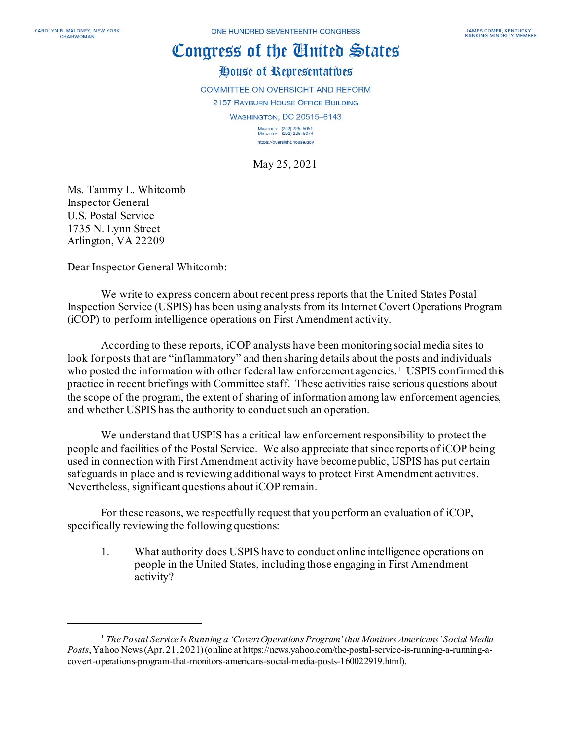## Congress of the Cinited States

## House of Representatives

COMMITTEE ON OVERSIGHT AND REFORM

2157 RAYBURN HOUSE OFFICE BUILDING

**WASHINGTON, DC 20515-6143** 

MAJORITY (202) 225-5051<br>MINORITY (202) 225-5074 https://oversight.house.gov

May 25, 2021

Ms. Tammy L. Whitcomb Inspector General U.S. Postal Service 1735 N. Lynn Street Arlington, VA 22209

Dear Inspector General Whitcomb:

We write to express concern about recent press reports that the United States Postal Inspection Service (USPIS) has been using analysts from its Internet Covert Operations Program (iCOP) to perform intelligence operations on First Amendment activity.

According to these reports, iCOP analysts have been monitoring social media sites to look for posts that are "inflammatory" and then sharing details about the posts and individuals who posted the information with other federal law enforcement agencies.<sup>[1](#page-0-0)</sup> USPIS confirmed this practice in recent briefings with Committee staff. These activities raise serious questions about the scope of the program, the extent of sharing of information among law enforcement agencies, and whether USPIS has the authority to conduct such an operation.

We understand that USPIS has a critical law enforcement responsibility to protect the people and facilities of the Postal Service. We also appreciate that since reports of iCOP being used in connection with First Amendment activity have become public, USPIS has put certain safeguards in place and is reviewing additional ways to protect First Amendment activities. Nevertheless, significant questions about iCOP remain.

For these reasons, we respectfully request that you perform an evaluation of iCOP, specifically reviewing the following questions:

1. What authority does USPIS have to conduct online intelligence operations on people in the United States, including those engaging in First Amendment activity?

<span id="page-0-0"></span><sup>1</sup> *The Postal Service Is Running a 'Covert Operations Program' that Monitors Americans' Social Media Posts*, Yahoo News (Apr. 21, 2021) (online at https://news.yahoo.com/the-postal-service-is-running-a-running-acovert-operations-program-that-monitors-americans-social-media-posts-160022919.html).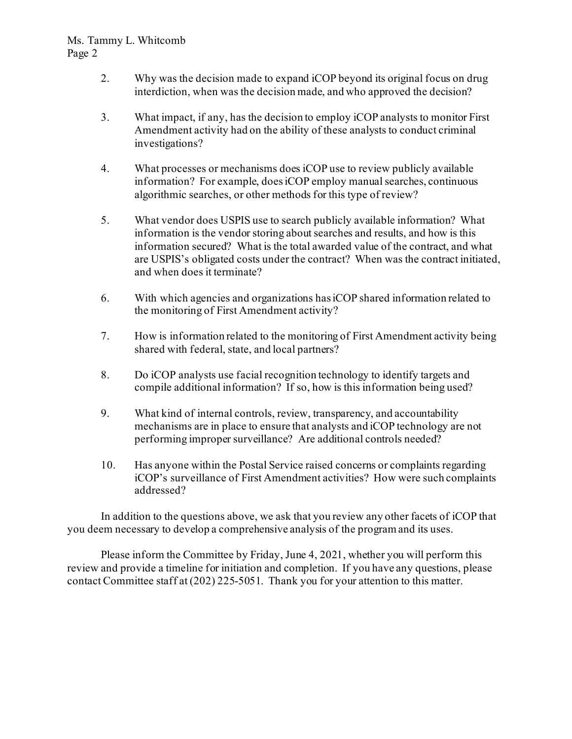## Ms. Tammy L. Whitcomb Page 2

- 2. Why was the decision made to expand iCOP beyond its original focus on drug interdiction, when was the decision made, and who approved the decision?
- 3. What impact, if any, has the decision to employ iCOP analysts to monitor First Amendment activity had on the ability of these analysts to conduct criminal investigations?
- 4. What processes or mechanisms does iCOP use to review publicly available information? For example, does iCOP employ manual searches, continuous algorithmic searches, or other methods for this type of review?
- 5. What vendor does USPIS use to search publicly available information? What information is the vendor storing about searches and results, and how is this information secured? What is the total awarded value of the contract, and what are USPIS's obligated costs under the contract? When was the contract initiated, and when does it terminate?
- 6. With which agencies and organizations has iCOP shared information related to the monitoring of First Amendment activity?
- 7. How is information related to the monitoring of First Amendment activity being shared with federal, state, and local partners?
- 8. Do iCOP analysts use facial recognition technology to identify targets and compile additional information? If so, how is this information being used?
- 9. What kind of internal controls, review, transparency, and accountability mechanisms are in place to ensure that analysts and iCOP technology are not performing improper surveillance? Are additional controls needed?
- 10. Has anyone within the Postal Service raised concerns or complaints regarding iCOP's surveillance of First Amendment activities? How were such complaints addressed?

In addition to the questions above, we ask that you review any other facets of iCOP that you deem necessary to develop a comprehensive analysis of the program and its uses.

Please inform the Committee by Friday, June 4, 2021, whether you will perform this review and provide a timeline for initiation and completion. If you have any questions, please contact Committee staff at (202) 225-5051. Thank you for your attention to this matter.